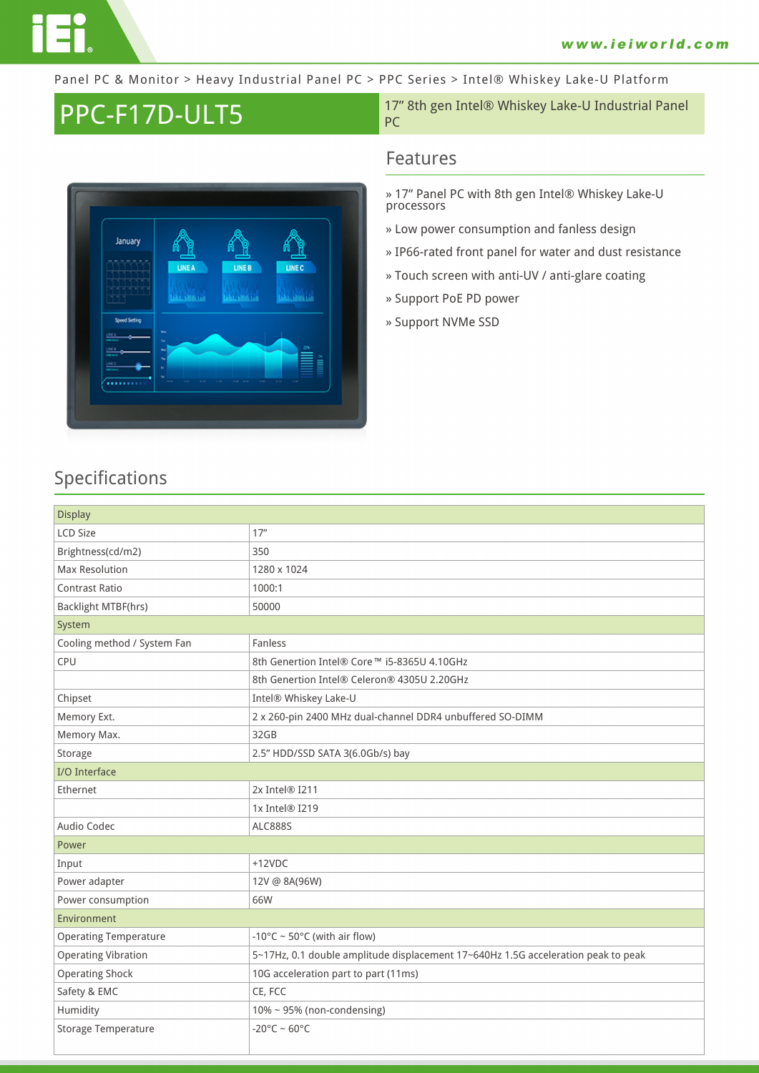Panel PC & Monitor > Heavy Industrial Panel PC > PPC Series > Intel® Whiskey Lake-U Platform



**PPC-F17D-ULT5** 17" 8th gen Intel® Whiskey Lake-U Industrial Panel PC

#### **Features**

- **» 17" Panel PC with 8th gen Intel® Whiskey Lake-U processors**
- **» Low power consumption and fanless design**
- **» IP66-rated front panel for water and dust resistance**
- **» Touch screen with anti-UV / anti-glare coating**
- **» Support PoE PD power**
- **» Support NVMe SSD**

## **Specifications**

| <b>Display</b>               |                                                                                   |  |  |
|------------------------------|-----------------------------------------------------------------------------------|--|--|
| <b>LCD Size</b>              | 17"                                                                               |  |  |
| Brightness(cd/m2)            | 350                                                                               |  |  |
| <b>Max Resolution</b>        | 1280 x 1024                                                                       |  |  |
| Contrast Ratio               | 1000:1                                                                            |  |  |
| Backlight MTBF(hrs)          | 50000                                                                             |  |  |
| System                       |                                                                                   |  |  |
| Cooling method / System Fan  | Fanless                                                                           |  |  |
| CPU                          | 8th Genertion Intel® Core™ i5-8365U 4.10GHz                                       |  |  |
|                              | 8th Genertion Intel® Celeron® 4305U 2.20GHz                                       |  |  |
| Chipset                      | Intel® Whiskey Lake-U                                                             |  |  |
| Memory Ext.                  | 2 x 260-pin 2400 MHz dual-channel DDR4 unbuffered SO-DIMM                         |  |  |
| Memory Max.                  | 32GB                                                                              |  |  |
| Storage                      | 2.5" HDD/SSD SATA 3(6.0Gb/s) bay                                                  |  |  |
| <b>I/O</b> Interface         |                                                                                   |  |  |
| Ethernet                     | 2x Intel® I211                                                                    |  |  |
|                              | 1x Intel® I219                                                                    |  |  |
| Audio Codec                  | <b>ALC888S</b>                                                                    |  |  |
| Power                        |                                                                                   |  |  |
| Input                        | $+12VDC$                                                                          |  |  |
| Power adapter                | 12V @ 8A(96W)                                                                     |  |  |
| Power consumption            | 66W                                                                               |  |  |
| Environment                  |                                                                                   |  |  |
| <b>Operating Temperature</b> | -10°C ~ 50°C (with air flow)                                                      |  |  |
| <b>Operating Vibration</b>   | 5~17Hz, 0.1 double amplitude displacement 17~640Hz 1.5G acceleration peak to peak |  |  |
| <b>Operating Shock</b>       | 10G acceleration part to part (11ms)                                              |  |  |
| Safety & EMC                 | CE, FCC                                                                           |  |  |
| Humidity                     | $10\%$ ~ 95% (non-condensing)                                                     |  |  |
| Storage Temperature          | $-20^{\circ}$ C ~ 60°C                                                            |  |  |